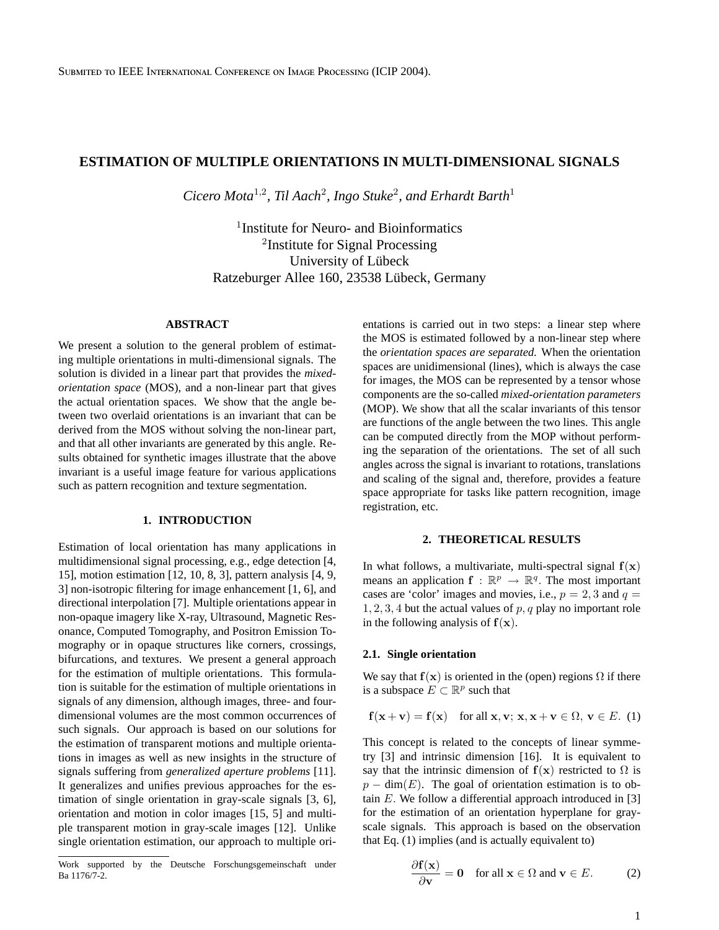# **ESTIMATION OF MULTIPLE ORIENTATIONS IN MULTI-DIMENSIONAL SIGNALS**

Cicero Mota<sup>1,2</sup>, Til Aach<sup>2</sup>, Ingo Stuke<sup>2</sup>, and Erhardt Barth<sup>1</sup>

1 Institute for Neuro- and Bioinformatics <sup>2</sup>Institute for Signal Processing University of Lübeck Ratzeburger Allee 160, 23538 Lübeck, Germany

## **ABSTRACT**

We present a solution to the general problem of estimating multiple orientations in multi-dimensional signals. The solution is divided in a linear part that provides the *mixedorientation space* (MOS), and a non-linear part that gives the actual orientation spaces. We show that the angle between two overlaid orientations is an invariant that can be derived from the MOS without solving the non-linear part, and that all other invariants are generated by this angle. Results obtained for synthetic images illustrate that the above invariant is a useful image feature for various applications such as pattern recognition and texture segmentation.

### **1. INTRODUCTION**

Estimation of local orientation has many applications in multidimensional signal processing, e.g., edge detection [4, 15], motion estimation [12, 10, 8, 3], pattern analysis [4, 9, 3] non-isotropic filtering for image enhancement [1, 6], and directional interpolation [7]. Multiple orientations appear in non-opaque imagery like X-ray, Ultrasound, Magnetic Resonance, Computed Tomography, and Positron Emission Tomography or in opaque structures like corners, crossings, bifurcations, and textures. We present a general approach for the estimation of multiple orientations. This formulation is suitable for the estimation of multiple orientations in signals of any dimension, although images, three- and fourdimensional volumes are the most common occurrences of such signals. Our approach is based on our solutions for the estimation of transparent motions and multiple orientations in images as well as new insights in the structure of signals suffering from *generalized aperture problems* [11]. It generalizes and unifies previous approaches for the estimation of single orientation in gray-scale signals [3, 6], orientation and motion in color images [15, 5] and multiple transparent motion in gray-scale images [12]. Unlike single orientation estimation, our approach to multiple orientations is carried out in two steps: a linear step where the MOS is estimated followed by a non-linear step where the *orientation spaces are separated.* When the orientation spaces are unidimensional (lines), which is always the case for images, the MOS can be represented by a tensor whose components are the so-called *mixed-orientation parameters* (MOP). We show that all the scalar invariants of this tensor are functions of the angle between the two lines. This angle can be computed directly from the MOP without performing the separation of the orientations. The set of all such angles across the signal is invariant to rotations, translations and scaling of the signal and, therefore, provides a feature space appropriate for tasks like pattern recognition, image registration, etc.

## **2. THEORETICAL RESULTS**

In what follows, a multivariate, multi-spectral signal  $f(x)$ means an application  $f : \mathbb{R}^p \to \mathbb{R}^q$ . The most important cases are 'color' images and movies, i.e.,  $p = 2, 3$  and  $q =$  $1, 2, 3, 4$  but the actual values of p, q play no important role in the following analysis of  $f(x)$ .

### **2.1. Single orientation**

We say that  $f(x)$  is oriented in the (open) regions  $\Omega$  if there is a subspace  $E \subset \mathbb{R}^p$  such that

$$
\mathbf{f}(\mathbf{x} + \mathbf{v}) = \mathbf{f}(\mathbf{x}) \quad \text{for all } \mathbf{x}, \mathbf{v}; \mathbf{x}, \mathbf{x} + \mathbf{v} \in \Omega, \mathbf{v} \in E. \tag{1}
$$

This concept is related to the concepts of linear symmetry [3] and intrinsic dimension [16]. It is equivalent to say that the intrinsic dimension of  $f(x)$  restricted to  $\Omega$  is  $p - \dim(E)$ . The goal of orientation estimation is to obtain  $E$ . We follow a differential approach introduced in [3] for the estimation of an orientation hyperplane for grayscale signals. This approach is based on the observation that Eq. (1) implies (and is actually equivalent to)

$$
\frac{\partial \mathbf{f}(\mathbf{x})}{\partial \mathbf{v}} = \mathbf{0} \quad \text{for all } \mathbf{x} \in \Omega \text{ and } \mathbf{v} \in E. \tag{2}
$$

Work supported by the Deutsche Forschungsgemeinschaft under Ba 1176/7-2.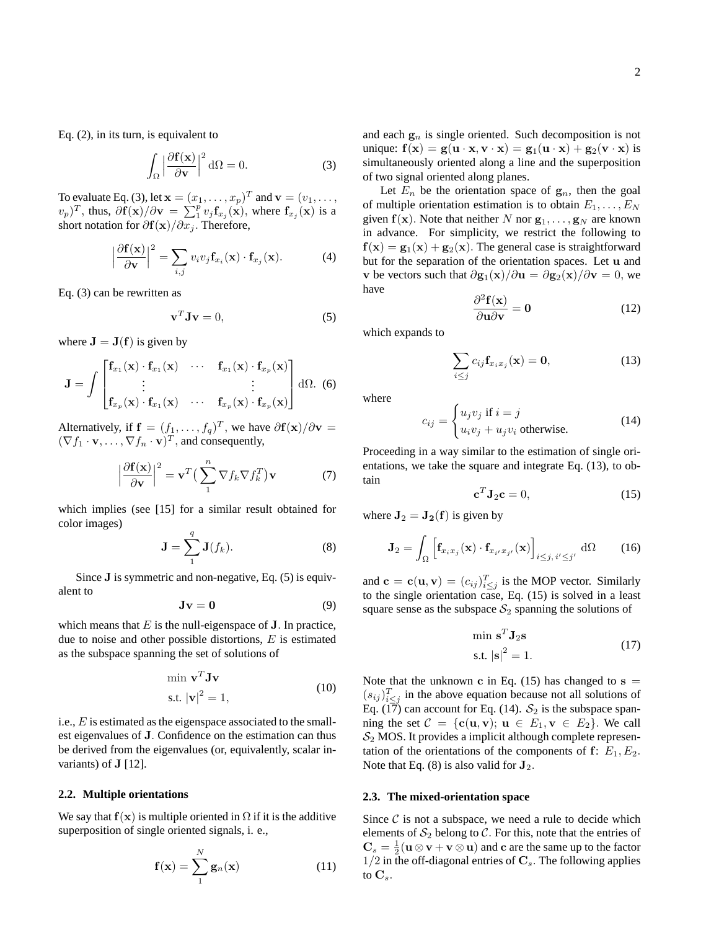Eq. (2), in its turn, is equivalent to

$$
\int_{\Omega} \left| \frac{\partial \mathbf{f}(\mathbf{x})}{\partial \mathbf{v}} \right|^2 d\Omega = 0.
$$
 (3)

To evaluate Eq. (3), let  $\mathbf{x} = (x_1, \dots, x_p)^T$  and  $\mathbf{v} = (v_1, \dots, v_n)^T$  $(v_p)^T$ , thus,  $\partial f(\mathbf{x})/\partial \mathbf{v} = \sum_{i=1}^{p} v_j \mathbf{f}_{x_j}(\mathbf{x})$ , where  $\mathbf{f}_{x_j}(\mathbf{x})$  is a short notation for  $\partial f(x)/\partial x_j$ . Therefore,

$$
\left|\frac{\partial \mathbf{f}(\mathbf{x})}{\partial \mathbf{v}}\right|^2 = \sum_{i,j} v_i v_j \mathbf{f}_{x_i}(\mathbf{x}) \cdot \mathbf{f}_{x_j}(\mathbf{x}).\tag{4}
$$

Eq. (3) can be rewritten as

$$
\mathbf{v}^T \mathbf{J} \mathbf{v} = 0,\tag{5}
$$

where  $J = J(f)$  is given by

$$
\mathbf{J} = \int \begin{bmatrix} \mathbf{f}_{x_1}(\mathbf{x}) \cdot \mathbf{f}_{x_1}(\mathbf{x}) & \cdots & \mathbf{f}_{x_1}(\mathbf{x}) \cdot \mathbf{f}_{x_p}(\mathbf{x}) \\ \vdots & & \vdots \\ \mathbf{f}_{x_p}(\mathbf{x}) \cdot \mathbf{f}_{x_1}(\mathbf{x}) & \cdots & \mathbf{f}_{x_p}(\mathbf{x}) \cdot \mathbf{f}_{x_p}(\mathbf{x}) \end{bmatrix} d\Omega.
$$
 (6)

Alternatively, if  $f = (f_1, \ldots, f_q)^T$ , we have  $\partial f(x)/\partial v =$  $(\nabla f_1 \cdot \mathbf{v}, \dots, \nabla f_n \cdot \mathbf{v})^T$ , and consequently,

$$
\left|\frac{\partial \mathbf{f}(\mathbf{x})}{\partial \mathbf{v}}\right|^2 = \mathbf{v}^T \left(\sum_{1}^{n} \nabla f_k \nabla f_k^T\right) \mathbf{v} \tag{7}
$$

which implies (see [15] for a similar result obtained for color images)

$$
\mathbf{J} = \sum_{1}^{q} \mathbf{J}(f_k). \tag{8}
$$

Since J is symmetric and non-negative, Eq. (5) is equivalent to

$$
Jv = 0 \tag{9}
$$

which means that  $E$  is the null-eigenspace of  $J$ . In practice, due to noise and other possible distortions,  $E$  is estimated as the subspace spanning the set of solutions of

$$
\min \mathbf{v}^T \mathbf{J} \mathbf{v}
$$
  
s.t.  $|\mathbf{v}|^2 = 1$ , (10)

i.e., E is estimated as the eigenspace associated to the smallest eigenvalues of J. Confidence on the estimation can thus be derived from the eigenvalues (or, equivalently, scalar invariants) of  $J$  [12].

### **2.2. Multiple orientations**

We say that  $f(x)$  is multiple oriented in  $\Omega$  if it is the additive superposition of single oriented signals, i. e.,

$$
\mathbf{f}(\mathbf{x}) = \sum_{1}^{N} \mathbf{g}_n(\mathbf{x})
$$
 (11)

and each  $g_n$  is single oriented. Such decomposition is not unique:  $f(x) = g(u \cdot x, v \cdot x) = g_1(u \cdot x) + g_2(v \cdot x)$  is simultaneously oriented along a line and the superposition of two signal oriented along planes.

Let  $E_n$  be the orientation space of  $g_n$ , then the goal of multiple orientation estimation is to obtain  $E_1, \ldots, E_N$ given  $f(x)$ . Note that neither N nor  $g_1, \ldots, g_N$  are known in advance. For simplicity, we restrict the following to  $f(x) = g_1(x) + g_2(x)$ . The general case is straightforward but for the separation of the orientation spaces. Let u and v be vectors such that  $\partial$ g<sub>1</sub>(x)/ $\partial$ **u** =  $\partial$ g<sub>2</sub>(x)/ $\partial$ **v** = 0, we have

$$
\frac{\partial^2 \mathbf{f}(\mathbf{x})}{\partial \mathbf{u} \partial \mathbf{v}} = \mathbf{0}
$$
 (12)

which expands to

$$
\sum_{i\leq j} c_{ij} \mathbf{f}_{x_i x_j}(\mathbf{x}) = \mathbf{0},\tag{13}
$$

where

$$
c_{ij} = \begin{cases} u_j v_j \text{ if } i = j \\ u_i v_j + u_j v_i \text{ otherwise.} \end{cases}
$$
 (14)

Proceeding in a way similar to the estimation of single orientations, we take the square and integrate Eq. (13), to obtain

$$
\mathbf{c}^T \mathbf{J}_2 \mathbf{c} = 0,\tag{15}
$$

where  $J_2 = J_2(f)$  is given by

$$
\mathbf{J}_2 = \int_{\Omega} \left[ \mathbf{f}_{x_i x_j}(\mathbf{x}) \cdot \mathbf{f}_{x_i x_{j'}}(\mathbf{x}) \right]_{i \leq j, i' \leq j'} d\Omega \qquad (16)
$$

and  $\mathbf{c} = \mathbf{c}(\mathbf{u}, \mathbf{v}) = (c_{ij})_{i \leq j}^T$  is the MOP vector. Similarly to the single orientation case, Eq. (15) is solved in a least square sense as the subspace  $S_2$  spanning the solutions of

$$
\min \mathbf{s}^T \mathbf{J}_2 \mathbf{s}
$$
  
s.t.  $|\mathbf{s}|^2 = 1$ . (17)

Note that the unknown c in Eq. (15) has changed to  $s =$  $(s_{ij})_{i\leq j}^T$  in the above equation because not all solutions of Eq. (17) can account for Eq. (14).  $S_2$  is the subspace spanning the set  $\mathcal{C} = \{c(\mathbf{u}, \mathbf{v}); \mathbf{u} \in E_1, \mathbf{v} \in E_2\}$ . We call  $S_2$  MOS. It provides a implicit although complete representation of the orientations of the components of  $f: E_1, E_2$ . Note that Eq.  $(8)$  is also valid for  $\mathbf{J}_2$ .

### **2.3. The mixed-orientation space**

Since  $C$  is not a subspace, we need a rule to decide which elements of  $S_2$  belong to C. For this, note that the entries of  $\mathbf{C}_s = \frac{1}{2}(\mathbf{u} \otimes \mathbf{v} + \mathbf{v} \otimes \mathbf{u})$  and c are the same up to the factor  $1/2$  in the off-diagonal entries of  $C_s$ . The following applies to  $\mathbf{C}_s$ .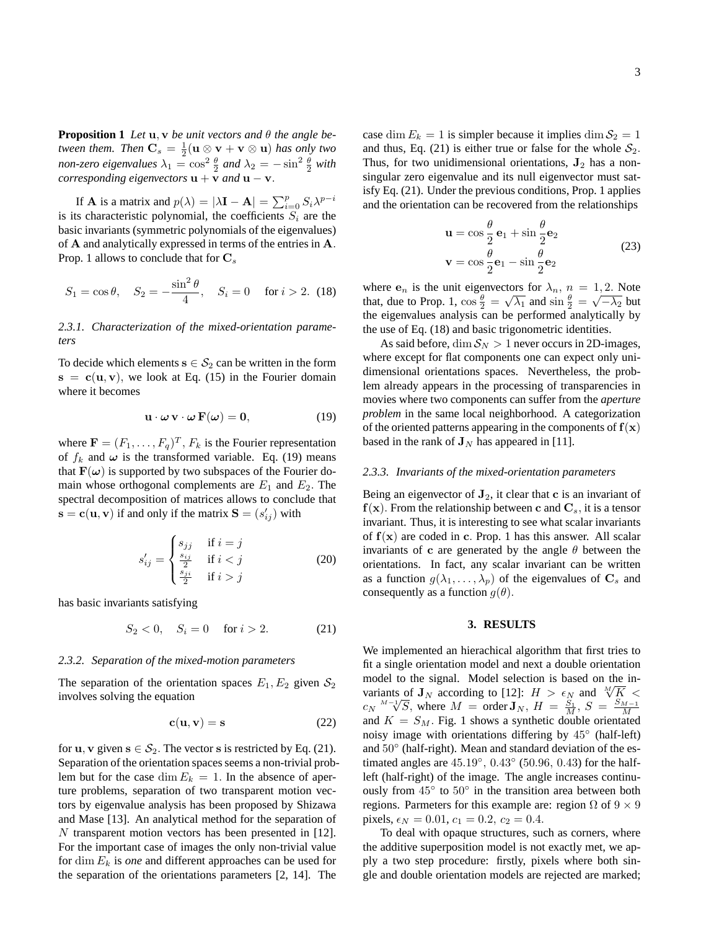**Proposition 1** *Let* **u**, **v** *be unit vectors and*  $\theta$  *the angle between them.* Then  $\mathbf{C}_s = \frac{1}{2} (\mathbf{u} \otimes \mathbf{v} + \mathbf{v} \otimes \mathbf{u})$  has only two *non-zero eigenvalues*  $\lambda_1 = \cos^2 \frac{\theta}{2}$  *and*  $\lambda_2 = -\sin^2 \frac{\theta}{2}$  *with corresponding eigenvectors*  $\mathbf{u} + \mathbf{v}$  *and*  $\mathbf{u} - \mathbf{v}$ *.* 

If **A** is a matrix and  $p(\lambda) = |\lambda \mathbf{I} - \mathbf{A}| = \sum_{i=0}^{p} S_i \lambda^{p-i}$ is its characteristic polynomial, the coefficients  $S_i$  are the basic invariants (symmetric polynomials of the eigenvalues) of A and analytically expressed in terms of the entries in A. Prop. 1 allows to conclude that for  $C_s$ 

$$
S_1 = \cos \theta
$$
,  $S_2 = -\frac{\sin^2 \theta}{4}$ ,  $S_i = 0$  for  $i > 2$ . (18)

# *2.3.1. Characterization of the mixed-orientation parameters*

To decide which elements  $s \in S_2$  can be written in the form  $s = c(u, v)$ , we look at Eq. (15) in the Fourier domain where it becomes

$$
\mathbf{u} \cdot \boldsymbol{\omega} \mathbf{v} \cdot \boldsymbol{\omega} \mathbf{F}(\boldsymbol{\omega}) = \mathbf{0}, \tag{19}
$$

where  $\mathbf{F} = (F_1, \dots, F_q)^T$ ,  $F_k$  is the Fourier representation of  $f_k$  and  $\omega$  is the transformed variable. Eq. (19) means that  $\mathbf{F}(\omega)$  is supported by two subspaces of the Fourier domain whose orthogonal complements are  $E_1$  and  $E_2$ . The spectral decomposition of matrices allows to conclude that  $\mathbf{s} = \mathbf{c}(\mathbf{u}, \mathbf{v})$  if and only if the matrix  $\mathbf{S} = (s_{ij}')$  with

$$
s'_{ij} = \begin{cases} s_{jj} & \text{if } i = j \\ \frac{s_{ij}}{2} & \text{if } i < j \\ \frac{s_{ji}}{2} & \text{if } i > j \end{cases} \tag{20}
$$

has basic invariants satisfying

$$
S_2 < 0, \quad S_i = 0 \quad \text{for } i > 2. \tag{21}
$$

#### *2.3.2. Separation of the mixed-motion parameters*

The separation of the orientation spaces  $E_1, E_2$  given  $S_2$ involves solving the equation

$$
\mathbf{c}(\mathbf{u}, \mathbf{v}) = \mathbf{s} \tag{22}
$$

for **u**, **v** given  $s \in S_2$ . The vector **s** is restricted by Eq. (21). Separation of the orientation spaces seems a non-trivial problem but for the case dim  $E_k = 1$ . In the absence of aperture problems, separation of two transparent motion vectors by eigenvalue analysis has been proposed by Shizawa and Mase [13]. An analytical method for the separation of N transparent motion vectors has been presented in [12]. For the important case of images the only non-trivial value for  $\dim E_k$  is *one* and different approaches can be used for the separation of the orientations parameters [2, 14]. The

case dim  $E_k = 1$  is simpler because it implies dim  $S_2 = 1$ and thus, Eq. (21) is either true or false for the whole  $S_2$ . Thus, for two unidimensional orientations,  $J_2$  has a nonsingular zero eigenvalue and its null eigenvector must satisfy Eq. (21). Under the previous conditions, Prop. 1 applies and the orientation can be recovered from the relationships

$$
\mathbf{u} = \cos\frac{\theta}{2}\mathbf{e}_1 + \sin\frac{\theta}{2}\mathbf{e}_2
$$
  

$$
\mathbf{v} = \cos\frac{\theta}{2}\mathbf{e}_1 - \sin\frac{\theta}{2}\mathbf{e}_2
$$
 (23)

where  $\mathbf{e}_n$  is the unit eigenvectors for  $\lambda_n$ ,  $n = 1, 2$ . Note that, due to Prop. 1,  $\cos \frac{\theta}{2} = \sqrt{\lambda_1}$  and  $\sin \frac{\theta}{2} = \sqrt{-\lambda_2}$  but the eigenvalues analysis can be performed analytically by the use of Eq. (18) and basic trigonometric identities.

As said before, dim  $S_N > 1$  never occurs in 2D-images, where except for flat components one can expect only unidimensional orientations spaces. Nevertheless, the problem already appears in the processing of transparencies in movies where two components can suffer from the *aperture problem* in the same local neighborhood. A categorization of the oriented patterns appearing in the components of  $f(x)$ based in the rank of  $J<sub>N</sub>$  has appeared in [11].

#### *2.3.3. Invariants of the mixed-orientation parameters*

Being an eigenvector of  $J_2$ , it clear that c is an invariant of  $f(x)$ . From the relationship between c and  $C_s$ , it is a tensor invariant. Thus, it is interesting to see what scalar invariants of  $f(x)$  are coded in c. Prop. 1 has this answer. All scalar invariants of c are generated by the angle  $\theta$  between the orientations. In fact, any scalar invariant can be written as a function  $g(\lambda_1, \ldots, \lambda_p)$  of the eigenvalues of  $\mathbf{C}_s$  and consequently as a function  $g(\theta)$ .

## **3. RESULTS**

We implemented an hierachical algorithm that first tries to fit a single orientation model and next a double orientation model to the signal. Model selection is based on the inmodel to the signal. Model selection is based on the invariants of  $J_N$  according to [12]:  $H > \epsilon_N$  and  $\sqrt[N]{K}$ variants of  $J_N$  according to [12]:  $H > \epsilon_N$  and  $\sqrt{K} <$ <br>  $c_N \sqrt[M-1]{S}$ , where  $M = \text{order } J_N$ ,  $H = \frac{S_1}{M}$ ,  $S = \frac{S_{M-1}}{M}$ and  $K = S_M$ . Fig. 1 shows a synthetic double orientated noisy image with orientations differing by 45◦ (half-left) and  $50^{\circ}$  (half-right). Mean and standard deviation of the estimated angles are  $45.19^\circ$ ,  $0.43^\circ$  (50.96, 0.43) for the halfleft (half-right) of the image. The angle increases continuously from  $45^\circ$  to  $50^\circ$  in the transition area between both regions. Parmeters for this example are: region  $\Omega$  of  $9 \times 9$ pixels,  $\epsilon_N = 0.01$ ,  $c_1 = 0.2$ ,  $c_2 = 0.4$ .

To deal with opaque structures, such as corners, where the additive superposition model is not exactly met, we apply a two step procedure: firstly, pixels where both single and double orientation models are rejected are marked;